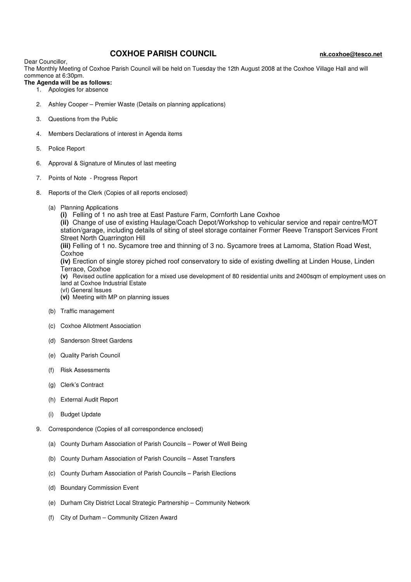## **COXHOE PARISH COUNCIL** nk.coxhoe@tesco.net

Dear Councillor,

The Monthly Meeting of Coxhoe Parish Council will be held on Tuesday the 12th August 2008 at the Coxhoe Village Hall and will commence at 6:30pm.

- **The Agenda will be as follows:** 
	- 1. Apologies for absence
	- 2. Ashley Cooper Premier Waste (Details on planning applications)
	- 3. Questions from the Public
	- 4. Members Declarations of interest in Agenda items
	- 5. Police Report
	- 6. Approval & Signature of Minutes of last meeting
	- 7. Points of Note Progress Report
	- 8. Reports of the Clerk (Copies of all reports enclosed)
		- (a) Planning Applications

**(i)** Felling of 1 no ash tree at East Pasture Farm, Cornforth Lane Coxhoe

**(ii)** Change of use of existing Haulage/Coach Depot/Workshop to vehicular service and repair centre/MOT station/garage, including details of siting of steel storage container Former Reeve Transport Services Front Street North Quarrington Hill

**(iii)** Felling of 1 no. Sycamore tree and thinning of 3 no. Sycamore trees at Lamoma, Station Road West, **Coxhoe** 

**(iv)** Erection of single storey piched roof conservatory to side of existing dwelling at Linden House, Linden Terrace, Coxhoe

**(v)** Revised outline application for a mixed use development of 80 residential units and 2400sqm of employment uses on land at Coxhoe Industrial Estate

(vI) General Issues **(vi)** Meeting with MP on planning issues

- (b) Traffic management
- (c) Coxhoe Allotment Association
- (d) Sanderson Street Gardens
- (e) Quality Parish Council
- (f) Risk Assessments
- (g) Clerk's Contract
- (h) External Audit Report
- (i) Budget Update
- 9. Correspondence (Copies of all correspondence enclosed)
	- (a) County Durham Association of Parish Councils Power of Well Being
	- (b) County Durham Association of Parish Councils Asset Transfers
	- (c) County Durham Association of Parish Councils Parish Elections
	- (d) Boundary Commission Event
	- (e) Durham City District Local Strategic Partnership Community Network
	- (f) City of Durham Community Citizen Award